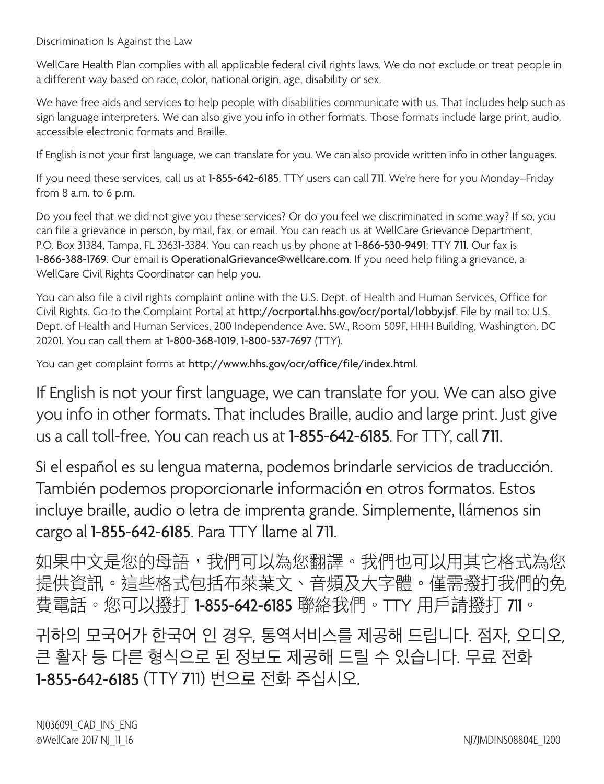Discrimination Is Against the Law

WellCare Health Plan complies with all applicable federal civil rights laws. We do not exclude or treat people in a different way based on race, color, national origin, age, disability or sex.

We have free aids and services to help people with disabilities communicate with us. That includes help such as sign language interpreters. We can also give you info in other formats. Those formats include large print, audio, accessible electronic formats and Braille.

If English is not your first language, we can translate for you. We can also provide written info in other languages.

If you need these services, call us at 1-855-642-6185. TTY users can call 711. We're here for you Monday–Friday from 8 a.m. to 6 p.m.

Do you feel that we did not give you these services? Or do you feel we discriminated in some way? If so, you can file a grievance in person, by mail, fax, or email. You can reach us at WellCare Grievance Department, P.O. Box 31384, Tampa, FL 33631-3384. You can reach us by phone at 1-866-530-9491; TTY 711. Our fax is 1-866-388-1769. Our email is OperationalGrievance@wellcare.com. If you need help filing a grievance, a WellCare Civil Rights Coordinator can help you.

You can also file a civil rights complaint online with the U.S. Dept. of Health and Human Services, Office for Civil Rights. Go to the Complaint Portal at http://ocrportal.hhs.gov/ocr/portal/lobby.jsf. File by mail to: U.S. Dept. of Health and Human Services, 200 Independence Ave. SW., Room 509F, HHH Building, Washington, DC 20201. You can call them at 1-800-368-1019, 1-800-537-7697 (TTY).

You can get complaint forms at http://www.hhs.gov/ocr/office/file/index.html.

If English is not your first language, we can translate for you. We can also give you info in other formats. That includes Braille, audio and large print. Just give us a call toll-free. You can reach us at 1-855-642-6185. For TTY, call 711.

Si el español es su lengua materna, podemos brindarle servicios de traducción. También podemos proporcionarle información en otros formatos. Estos incluye braille, audio o letra de imprenta grande. Simplemente, llámenos sin cargo al 1-855-642-6185. Para TTY llame al 711.

如果中文是您的母語,我們可以為您翻譯。我們也可以用其它格式為您 提供資訊。這些格式包括布萊葉文、音頻及大字體。僅需撥打我們的免 費電話。您可以撥打 1-855-642-6185 聯絡我們。TTY 用戶請撥打 711。

귀하의 모국어가 한국어 인 경우, 통역서비스를 제공해 드립니다. 점자, 오디오, 큰 활자 등 다른 형식으로 된 정보도 제공해 드릴 수 있습니다. 무료 전화 1-855-642-6185 (TTY 711) 번으로 전화 주십시오.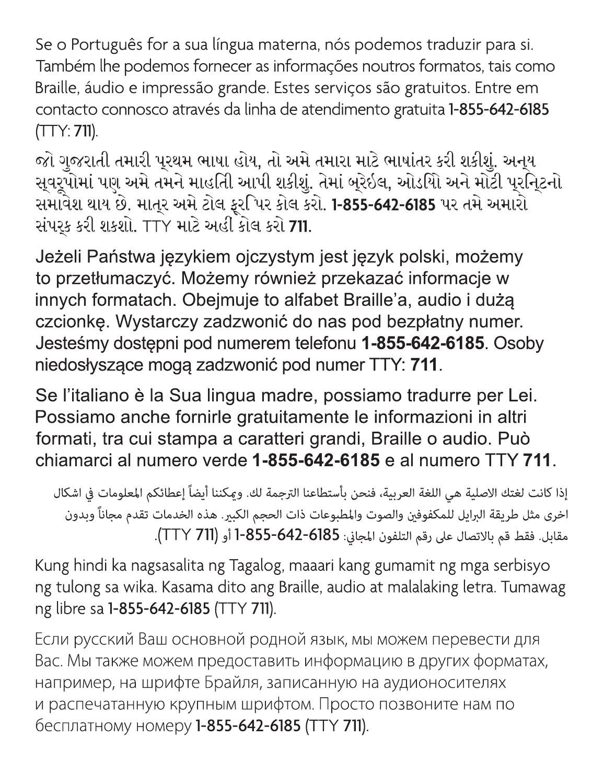Se o Português for a sua língua materna, nós podemos traduzir para si. Também lhe podemos fornecer as informações noutros formatos, tais como Braille, áudio e impressão grande. Estes serviços são gratuitos. Entre em contacto connosco através da linha de atendimento gratuita 1-855-642-6185  $(TTY: 711).$ 

જો ગુજરાતી તમારી પુરથમ ભાષા હોય, તો અમે તમારા માટે ભાષાંતર કરી શકીશું. અનુય સુવરૂપોમાં પણ અમે તમને માહતીિ આપી શકીશું. તેમાં બુરેઇલ, ઓડયોિ અને મોટી પુરનિ્ટનો સમાવેેશ થાય છે. માત્૨ અમે ટોલ ફરપિર કોલ કરો. 1-855-642-6185 પર તમે અમારો સંપર્ક કરી શકશો. TTY માટે અહીં કોલ કરો 711.

Jeżeli Państwa językiem ojczystym jest język polski, możemy to przetłumaczyć. Możemy również przekazać informacje w innych formatach. Obejmuje to alfabet Braille'a, audio i dużą czcionkę. Wystarczy zadzwonić do nas pod bezpłatny numer. Jesteśmy dostępni pod numerem telefonu 1-855-642-6185. Osoby niedosłyszące mogą zadzwonić pod numer TTY: 711.

Se l'italiano è la Sua lingua madre, possiamo tradurre per Lei. Possiamo anche fornirle gratuitamente le informazioni in altri formati, tra cui stampa a caratteri grandi, Braille o audio. Può chiamarci al numero verde 1-855-642-6185 e al numero TTY 711.

إذا كانت لغتك الاصلية هي اللغة العربية، فنحن بأستطاعنا الترجمة لك. وعكننا أيضاً إعطائكم المعلومات في اشكال اخرى مثل طريقة البرايل للمكفوفين والصوت والمطبوعات ذات الحجم الكبير. هذه الخدمات تقدم مجاناً وبدون مقابل. فقط قم بالاتصال على رقم التلفون المجاني: 856-642-655-1 أو (TT Y 711).

Kung hindi ka nagsasalita ng Tagalog, maaari kang gumamit ng mga serbisyo ng tulong sa wika. Kasama dito ang Braille, audio at malalaking letra. Tumawag ng libre sa 1-855-642-6185 (TTY 711).

Если русский Ваш основной родной язык, мы можем перевести для Вас. Мы также можем предоставить информацию в других форматах, например, на шрифте Брайля, записанную на аудионосителях и распечатанную крупным шрифтом. Просто позвоните нам по бесплатному номеру 1-855-642-6185 (ТТҮ 711).